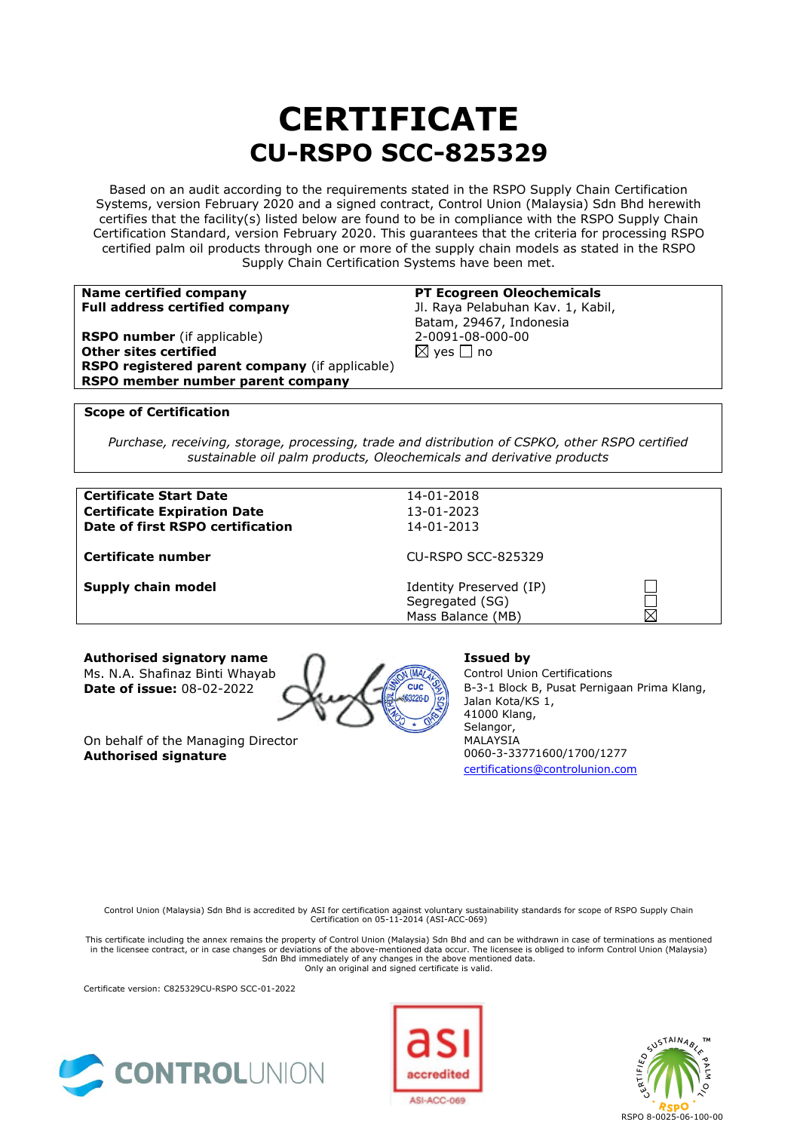# **CERTIFICATE CU-RSPO SCC-825329**

Based on an audit according to the requirements stated in the RSPO Supply Chain Certification Systems, version February 2020 and a signed contract, Control Union (Malaysia) Sdn Bhd herewith certifies that the facility(s) listed below are found to be in compliance with the RSPO Supply Chain Certification Standard, version February 2020. This guarantees that the criteria for processing RSPO certified palm oil products through one or more of the supply chain models as stated in the RSPO Supply Chain Certification Systems have been met.

| Name certified company                         | <b>PT Ecogreen Oleochemicals</b>  |
|------------------------------------------------|-----------------------------------|
| <b>Full address certified company</b>          | Jl. Raya Pelabuhan Kav. 1, Kabil, |
|                                                | Batam, 29467, Indonesia           |
| <b>RSPO number</b> (if applicable)             | 2-0091-08-000-00                  |
| Other sites certified                          | $\boxtimes$ yes $\Box$ no         |
| RSPO registered parent company (if applicable) |                                   |
| RSPO member number parent company              |                                   |
|                                                |                                   |

### **Scope of Certification**

*Purchase, receiving, storage, processing, trade and distribution of CSPKO, other RSPO certified sustainable oil palm products, Oleochemicals and derivative products*

#### **Certificate Start Date** 14-01-2018 **Certificate Expiration Date** 13-01-2023 **Date of first RSPO certification** 14-01-2013

**Certificate number** CU-RSPO SCC-825329

**Supply chain model IDENTIFY** Identity Preserved (IP) Segregated (SG) Mass Balance (MB)

**Authorised signatory name Issued by** Ms. N.A. Shafinaz Binti Whayab Control Union Certifications<br> **Date of issue:** 08-02-2022

**Date of issue:** 08-02-2022 **AV** All Cuc & B-3-1 Block B, Pusat Pernigaan Prima Klang, Jalan Kota/KS 1, 41000 Klang, Selangor, MALAYSIA 0060-3-33771600/1700/1277 [certifications@controlunion.com](mailto:certifications@controlunion.com)

 $\Box$ 

On behalf of the Managing Director **Authorised signature**

Control Union (Malaysia) Sdn Bhd is accredited by ASI for certification against voluntary sustainability standards for scope of RSPO Supply Chain Certification on 05-11-2014 (ASI-ACC-069)

This certificate including the annex remains the property of Control Union (Malaysia) Sdn Bhd and can be withdrawn in case of terminations as mentioned in the licensee contract, or in case changes or deviations of the above-mentioned data occur. The licensee is obliged to inform Control Union (Malaysia) Sdn Bhd immediately of any changes in the above mentioned data. Only an original and signed certificate is valid.

Certificate version: C825329CU-RSPO SCC-01-2022